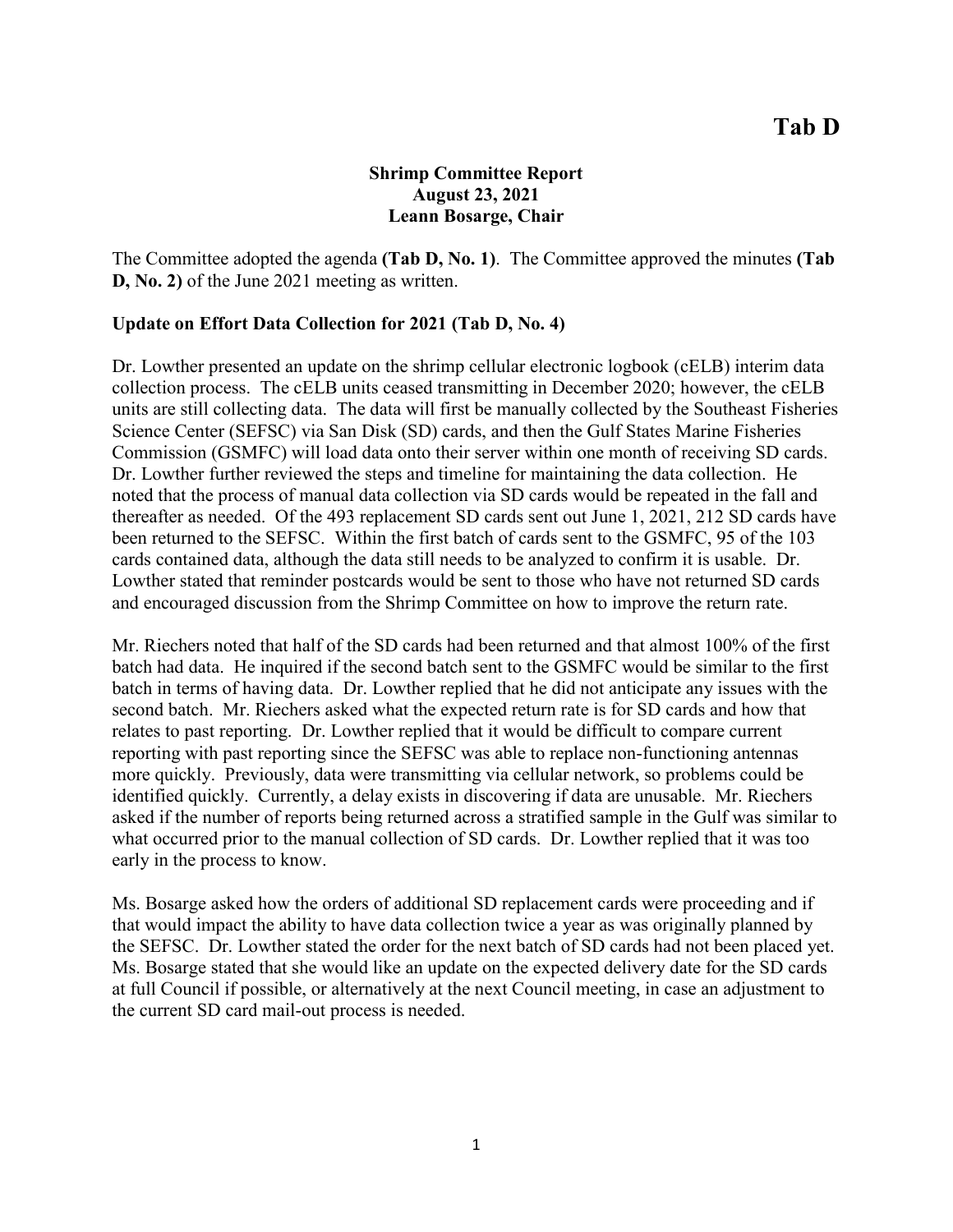# **Shrimp Committee Report August 23, 2021 Leann Bosarge, Chair**

The Committee adopted the agenda **(Tab D, No. 1)**. The Committee approved the minutes **(Tab D, No. 2)** of the June 2021 meeting as written.

### **Update on Effort Data Collection for 2021 (Tab D, No. 4)**

Dr. Lowther presented an update on the shrimp cellular electronic logbook (cELB) interim data collection process. The cELB units ceased transmitting in December 2020; however, the cELB units are still collecting data. The data will first be manually collected by the Southeast Fisheries Science Center (SEFSC) via San Disk (SD) cards, and then the Gulf States Marine Fisheries Commission (GSMFC) will load data onto their server within one month of receiving SD cards. Dr. Lowther further reviewed the steps and timeline for maintaining the data collection. He noted that the process of manual data collection via SD cards would be repeated in the fall and thereafter as needed. Of the 493 replacement SD cards sent out June 1, 2021, 212 SD cards have been returned to the SEFSC. Within the first batch of cards sent to the GSMFC, 95 of the 103 cards contained data, although the data still needs to be analyzed to confirm it is usable. Dr. Lowther stated that reminder postcards would be sent to those who have not returned SD cards and encouraged discussion from the Shrimp Committee on how to improve the return rate.

Mr. Riechers noted that half of the SD cards had been returned and that almost 100% of the first batch had data. He inquired if the second batch sent to the GSMFC would be similar to the first batch in terms of having data. Dr. Lowther replied that he did not anticipate any issues with the second batch. Mr. Riechers asked what the expected return rate is for SD cards and how that relates to past reporting. Dr. Lowther replied that it would be difficult to compare current reporting with past reporting since the SEFSC was able to replace non-functioning antennas more quickly. Previously, data were transmitting via cellular network, so problems could be identified quickly. Currently, a delay exists in discovering if data are unusable. Mr. Riechers asked if the number of reports being returned across a stratified sample in the Gulf was similar to what occurred prior to the manual collection of SD cards. Dr. Lowther replied that it was too early in the process to know.

Ms. Bosarge asked how the orders of additional SD replacement cards were proceeding and if that would impact the ability to have data collection twice a year as was originally planned by the SEFSC. Dr. Lowther stated the order for the next batch of SD cards had not been placed yet. Ms. Bosarge stated that she would like an update on the expected delivery date for the SD cards at full Council if possible, or alternatively at the next Council meeting, in case an adjustment to the current SD card mail-out process is needed.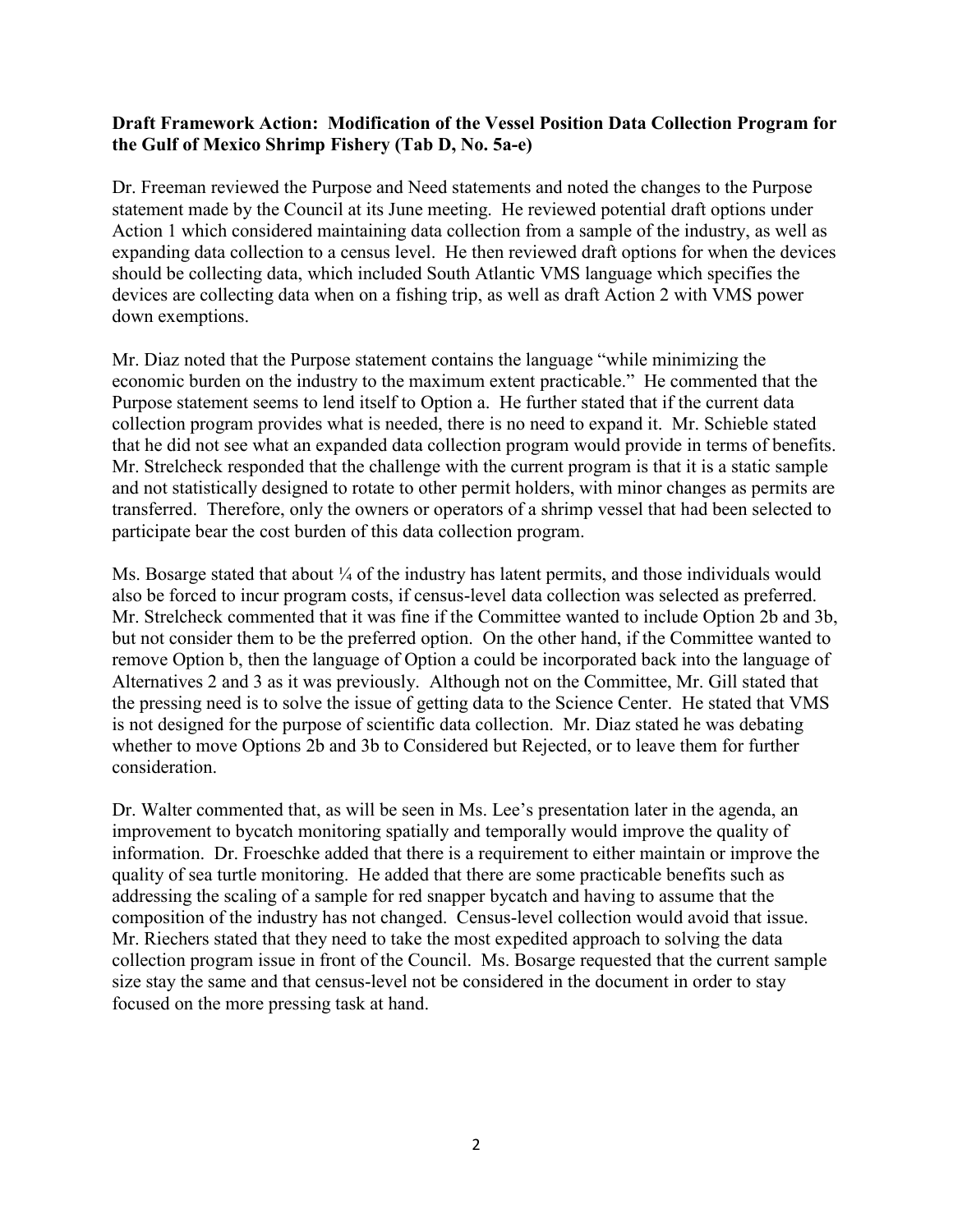## **Draft Framework Action: Modification of the Vessel Position Data Collection Program for the Gulf of Mexico Shrimp Fishery (Tab D, No. 5a-e)**

Dr. Freeman reviewed the Purpose and Need statements and noted the changes to the Purpose statement made by the Council at its June meeting. He reviewed potential draft options under Action 1 which considered maintaining data collection from a sample of the industry, as well as expanding data collection to a census level. He then reviewed draft options for when the devices should be collecting data, which included South Atlantic VMS language which specifies the devices are collecting data when on a fishing trip, as well as draft Action 2 with VMS power down exemptions.

Mr. Diaz noted that the Purpose statement contains the language "while minimizing the economic burden on the industry to the maximum extent practicable." He commented that the Purpose statement seems to lend itself to Option a. He further stated that if the current data collection program provides what is needed, there is no need to expand it. Mr. Schieble stated that he did not see what an expanded data collection program would provide in terms of benefits. Mr. Strelcheck responded that the challenge with the current program is that it is a static sample and not statistically designed to rotate to other permit holders, with minor changes as permits are transferred. Therefore, only the owners or operators of a shrimp vessel that had been selected to participate bear the cost burden of this data collection program.

Ms. Bosarge stated that about  $\frac{1}{4}$  of the industry has latent permits, and those individuals would also be forced to incur program costs, if census-level data collection was selected as preferred. Mr. Strelcheck commented that it was fine if the Committee wanted to include Option 2b and 3b, but not consider them to be the preferred option. On the other hand, if the Committee wanted to remove Option b, then the language of Option a could be incorporated back into the language of Alternatives 2 and 3 as it was previously. Although not on the Committee, Mr. Gill stated that the pressing need is to solve the issue of getting data to the Science Center. He stated that VMS is not designed for the purpose of scientific data collection. Mr. Diaz stated he was debating whether to move Options 2b and 3b to Considered but Rejected, or to leave them for further consideration.

Dr. Walter commented that, as will be seen in Ms. Lee's presentation later in the agenda, an improvement to bycatch monitoring spatially and temporally would improve the quality of information. Dr. Froeschke added that there is a requirement to either maintain or improve the quality of sea turtle monitoring. He added that there are some practicable benefits such as addressing the scaling of a sample for red snapper bycatch and having to assume that the composition of the industry has not changed. Census-level collection would avoid that issue. Mr. Riechers stated that they need to take the most expedited approach to solving the data collection program issue in front of the Council. Ms. Bosarge requested that the current sample size stay the same and that census-level not be considered in the document in order to stay focused on the more pressing task at hand.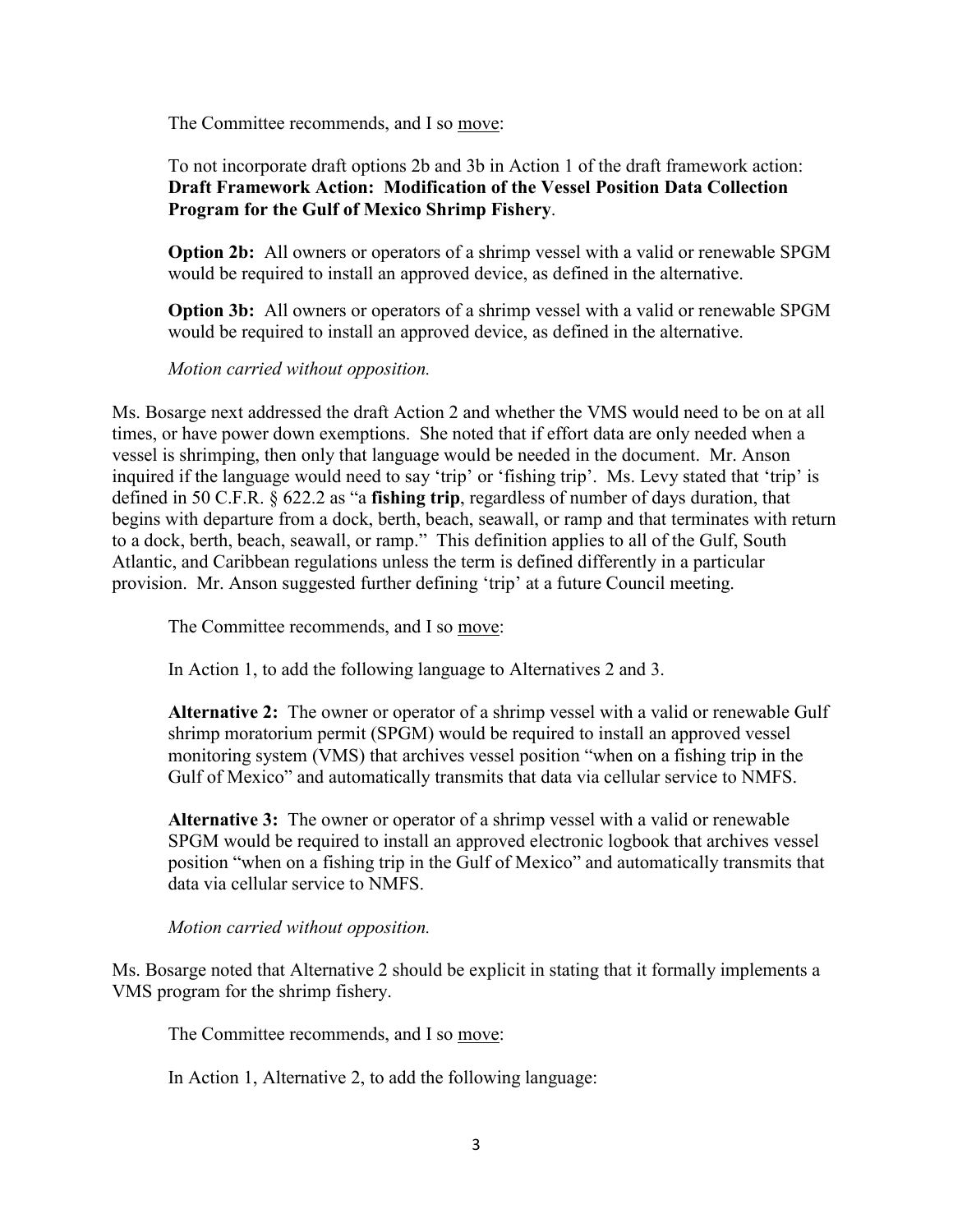The Committee recommends, and I so move:

To not incorporate draft options 2b and 3b in Action 1 of the draft framework action: **Draft Framework Action: Modification of the Vessel Position Data Collection Program for the Gulf of Mexico Shrimp Fishery**.

**Option 2b:** All owners or operators of a shrimp vessel with a valid or renewable SPGM would be required to install an approved device, as defined in the alternative.

**Option 3b:** All owners or operators of a shrimp vessel with a valid or renewable SPGM would be required to install an approved device, as defined in the alternative.

*Motion carried without opposition.*

Ms. Bosarge next addressed the draft Action 2 and whether the VMS would need to be on at all times, or have power down exemptions. She noted that if effort data are only needed when a vessel is shrimping, then only that language would be needed in the document. Mr. Anson inquired if the language would need to say 'trip' or 'fishing trip'. Ms. Levy stated that 'trip' is defined in 50 C.F.R. § 622.2 as "a **fishing trip**, regardless of number of days duration, that begins with departure from a dock, berth, beach, seawall, or ramp and that terminates with return to a dock, berth, beach, seawall, or ramp." This definition applies to all of the Gulf, South Atlantic, and Caribbean regulations unless the term is defined differently in a particular provision. Mr. Anson suggested further defining 'trip' at a future Council meeting.

The Committee recommends, and I so move:

In Action 1, to add the following language to Alternatives 2 and 3.

**Alternative 2:** The owner or operator of a shrimp vessel with a valid or renewable Gulf shrimp moratorium permit (SPGM) would be required to install an approved vessel monitoring system (VMS) that archives vessel position "when on a fishing trip in the Gulf of Mexico" and automatically transmits that data via cellular service to NMFS.

**Alternative 3:** The owner or operator of a shrimp vessel with a valid or renewable SPGM would be required to install an approved electronic logbook that archives vessel position "when on a fishing trip in the Gulf of Mexico" and automatically transmits that data via cellular service to NMFS.

*Motion carried without opposition.*

Ms. Bosarge noted that Alternative 2 should be explicit in stating that it formally implements a VMS program for the shrimp fishery.

The Committee recommends, and I so move:

In Action 1, Alternative 2, to add the following language: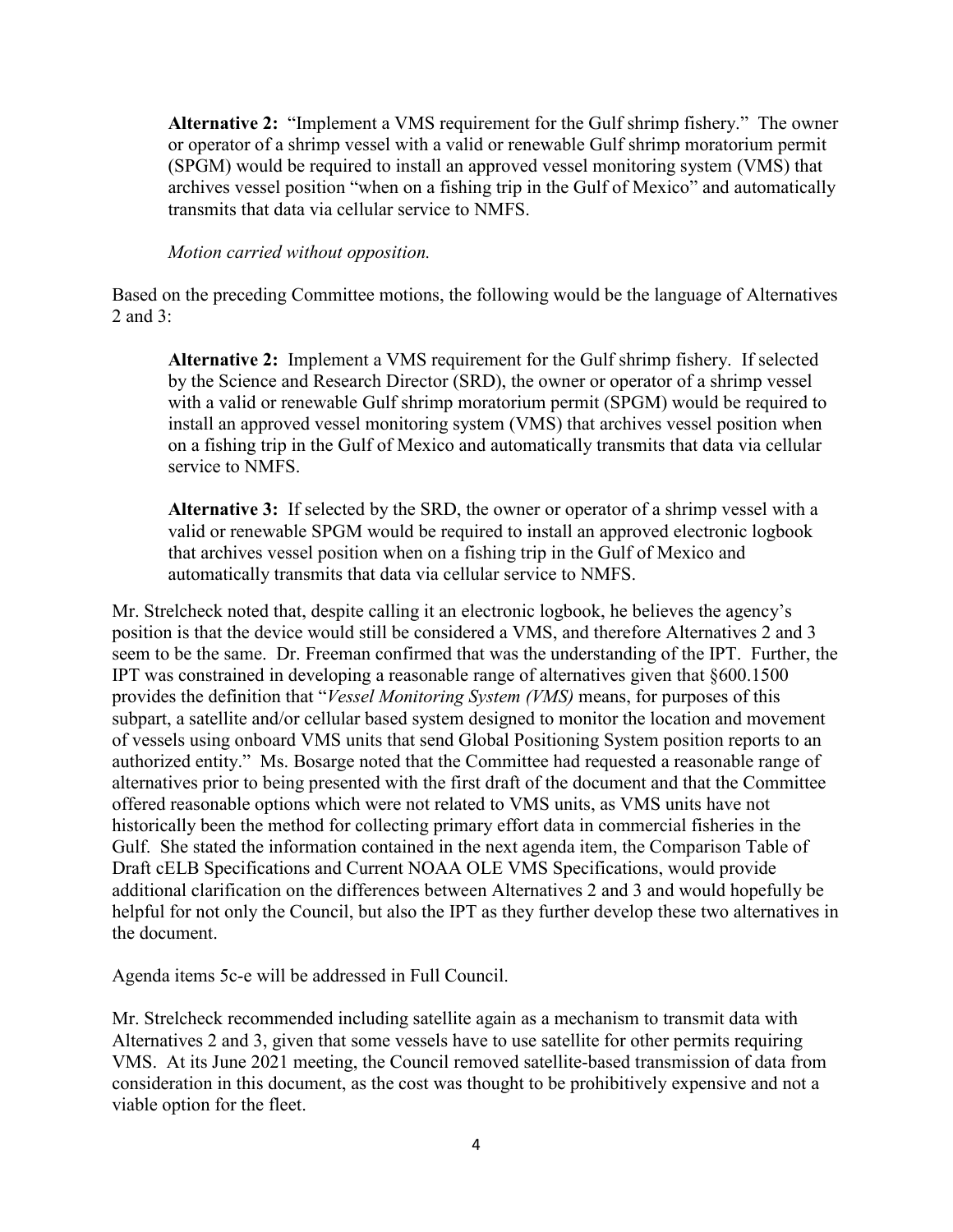**Alternative 2:** "Implement a VMS requirement for the Gulf shrimp fishery." The owner or operator of a shrimp vessel with a valid or renewable Gulf shrimp moratorium permit (SPGM) would be required to install an approved vessel monitoring system (VMS) that archives vessel position "when on a fishing trip in the Gulf of Mexico" and automatically transmits that data via cellular service to NMFS.

#### *Motion carried without opposition.*

Based on the preceding Committee motions, the following would be the language of Alternatives 2 and 3:

**Alternative 2:** Implement a VMS requirement for the Gulf shrimp fishery. If selected by the Science and Research Director (SRD), the owner or operator of a shrimp vessel with a valid or renewable Gulf shrimp moratorium permit (SPGM) would be required to install an approved vessel monitoring system (VMS) that archives vessel position when on a fishing trip in the Gulf of Mexico and automatically transmits that data via cellular service to NMFS.

**Alternative 3:** If selected by the SRD, the owner or operator of a shrimp vessel with a valid or renewable SPGM would be required to install an approved electronic logbook that archives vessel position when on a fishing trip in the Gulf of Mexico and automatically transmits that data via cellular service to NMFS.

Mr. Strelcheck noted that, despite calling it an electronic logbook, he believes the agency's position is that the device would still be considered a VMS, and therefore Alternatives 2 and 3 seem to be the same. Dr. Freeman confirmed that was the understanding of the IPT. Further, the IPT was constrained in developing a reasonable range of alternatives given that §600.1500 provides the definition that "*Vessel Monitoring System (VMS)* means, for purposes of this subpart, a satellite and/or cellular based system designed to monitor the location and movement of vessels using onboard VMS units that send Global Positioning System position reports to an authorized entity." Ms. Bosarge noted that the Committee had requested a reasonable range of alternatives prior to being presented with the first draft of the document and that the Committee offered reasonable options which were not related to VMS units, as VMS units have not historically been the method for collecting primary effort data in commercial fisheries in the Gulf. She stated the information contained in the next agenda item, the Comparison Table of Draft cELB Specifications and Current NOAA OLE VMS Specifications, would provide additional clarification on the differences between Alternatives 2 and 3 and would hopefully be helpful for not only the Council, but also the IPT as they further develop these two alternatives in the document.

Agenda items 5c-e will be addressed in Full Council.

Mr. Strelcheck recommended including satellite again as a mechanism to transmit data with Alternatives 2 and 3, given that some vessels have to use satellite for other permits requiring VMS. At its June 2021 meeting, the Council removed satellite-based transmission of data from consideration in this document, as the cost was thought to be prohibitively expensive and not a viable option for the fleet.